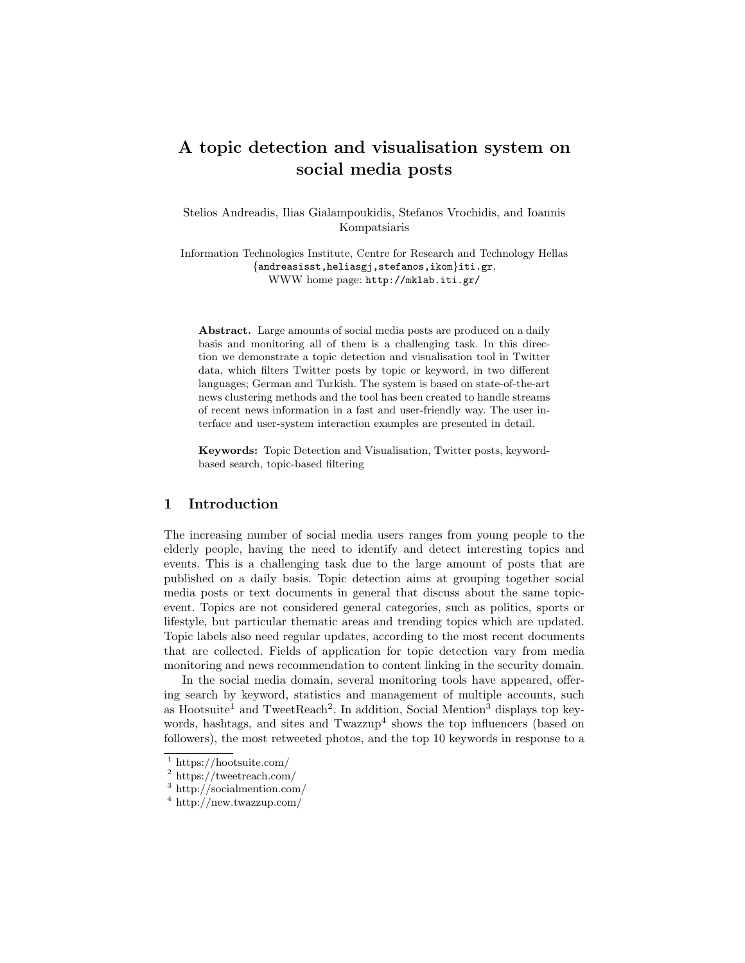# A topic detection and visualisation system on social media posts

Stelios Andreadis, Ilias Gialampoukidis, Stefanos Vrochidis, and Ioannis Kompatsiaris

Information Technologies Institute, Centre for Research and Technology Hellas {andreasisst,heliasgj,stefanos,ikom}iti.gr, WWW home page: http://mklab.iti.gr/

Abstract. Large amounts of social media posts are produced on a daily basis and monitoring all of them is a challenging task. In this direction we demonstrate a topic detection and visualisation tool in Twitter data, which filters Twitter posts by topic or keyword, in two different languages; German and Turkish. The system is based on state-of-the-art news clustering methods and the tool has been created to handle streams of recent news information in a fast and user-friendly way. The user interface and user-system interaction examples are presented in detail.

Keywords: Topic Detection and Visualisation, Twitter posts, keywordbased search, topic-based filtering

### 1 Introduction

The increasing number of social media users ranges from young people to the elderly people, having the need to identify and detect interesting topics and events. This is a challenging task due to the large amount of posts that are published on a daily basis. Topic detection aims at grouping together social media posts or text documents in general that discuss about the same topicevent. Topics are not considered general categories, such as politics, sports or lifestyle, but particular thematic areas and trending topics which are updated. Topic labels also need regular updates, according to the most recent documents that are collected. Fields of application for topic detection vary from media monitoring and news recommendation to content linking in the security domain.

In the social media domain, several monitoring tools have appeared, offering search by keyword, statistics and management of multiple accounts, such as Hootsuite<sup>1</sup> and TweetReach<sup>2</sup>. In addition, Social Mention<sup>3</sup> displays top keywords, hashtags, and sites and Twazzup<sup>4</sup> shows the top influencers (based on followers), the most retweeted photos, and the top 10 keywords in response to a

<sup>1</sup> https://hootsuite.com/

<sup>2</sup> https://tweetreach.com/

<sup>3</sup> http://socialmention.com/

<sup>4</sup> http://new.twazzup.com/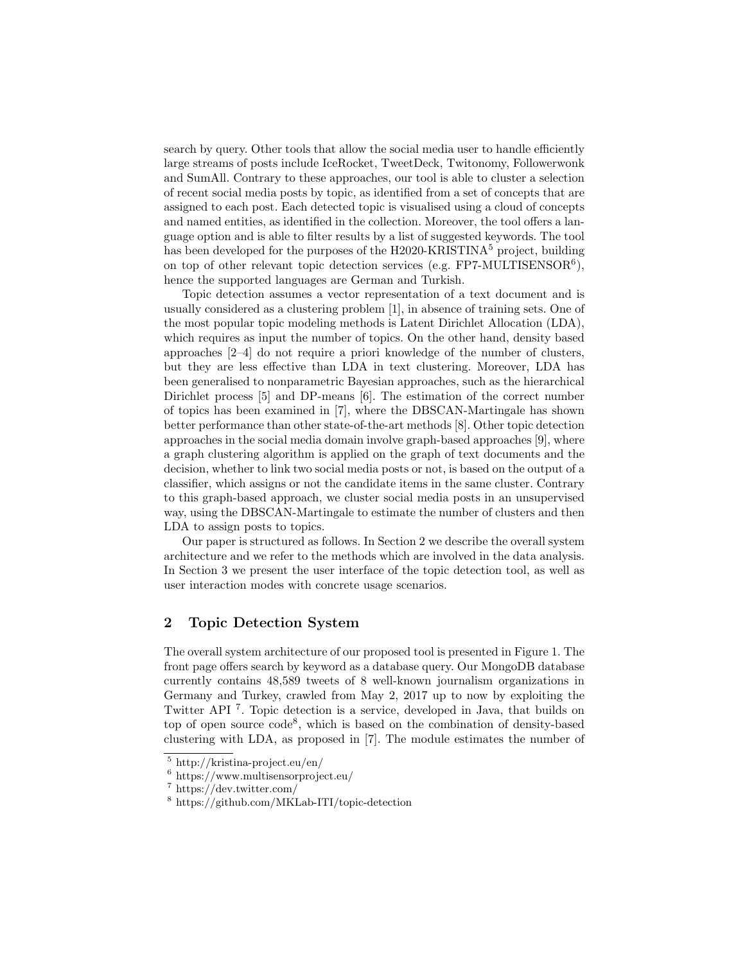search by query. Other tools that allow the social media user to handle efficiently large streams of posts include IceRocket, TweetDeck, Twitonomy, Followerwonk and SumAll. Contrary to these approaches, our tool is able to cluster a selection of recent social media posts by topic, as identified from a set of concepts that are assigned to each post. Each detected topic is visualised using a cloud of concepts and named entities, as identified in the collection. Moreover, the tool offers a language option and is able to filter results by a list of suggested keywords. The tool has been developed for the purposes of the H2020-KRISTINA<sup>5</sup> project, building on top of other relevant topic detection services (e.g.  $FPT-MULTISENSOR<sup>6</sup>$ ), hence the supported languages are German and Turkish.

Topic detection assumes a vector representation of a text document and is usually considered as a clustering problem [1], in absence of training sets. One of the most popular topic modeling methods is Latent Dirichlet Allocation (LDA), which requires as input the number of topics. On the other hand, density based approaches [2–4] do not require a priori knowledge of the number of clusters, but they are less effective than LDA in text clustering. Moreover, LDA has been generalised to nonparametric Bayesian approaches, such as the hierarchical Dirichlet process [5] and DP-means [6]. The estimation of the correct number of topics has been examined in [7], where the DBSCAN-Martingale has shown better performance than other state-of-the-art methods [8]. Other topic detection approaches in the social media domain involve graph-based approaches [9], where a graph clustering algorithm is applied on the graph of text documents and the decision, whether to link two social media posts or not, is based on the output of a classifier, which assigns or not the candidate items in the same cluster. Contrary to this graph-based approach, we cluster social media posts in an unsupervised way, using the DBSCAN-Martingale to estimate the number of clusters and then LDA to assign posts to topics.

Our paper is structured as follows. In Section 2 we describe the overall system architecture and we refer to the methods which are involved in the data analysis. In Section 3 we present the user interface of the topic detection tool, as well as user interaction modes with concrete usage scenarios.

# 2 Topic Detection System

The overall system architecture of our proposed tool is presented in Figure 1. The front page offers search by keyword as a database query. Our MongoDB database currently contains 48,589 tweets of 8 well-known journalism organizations in Germany and Turkey, crawled from May 2, 2017 up to now by exploiting the Twitter API<sup>7</sup>. Topic detection is a service, developed in Java, that builds on top of open source code<sup>8</sup>, which is based on the combination of density-based clustering with LDA, as proposed in [7]. The module estimates the number of

<sup>5</sup> http://kristina-project.eu/en/

<sup>6</sup> https://www.multisensorproject.eu/

<sup>7</sup> https://dev.twitter.com/

<sup>8</sup> https://github.com/MKLab-ITI/topic-detection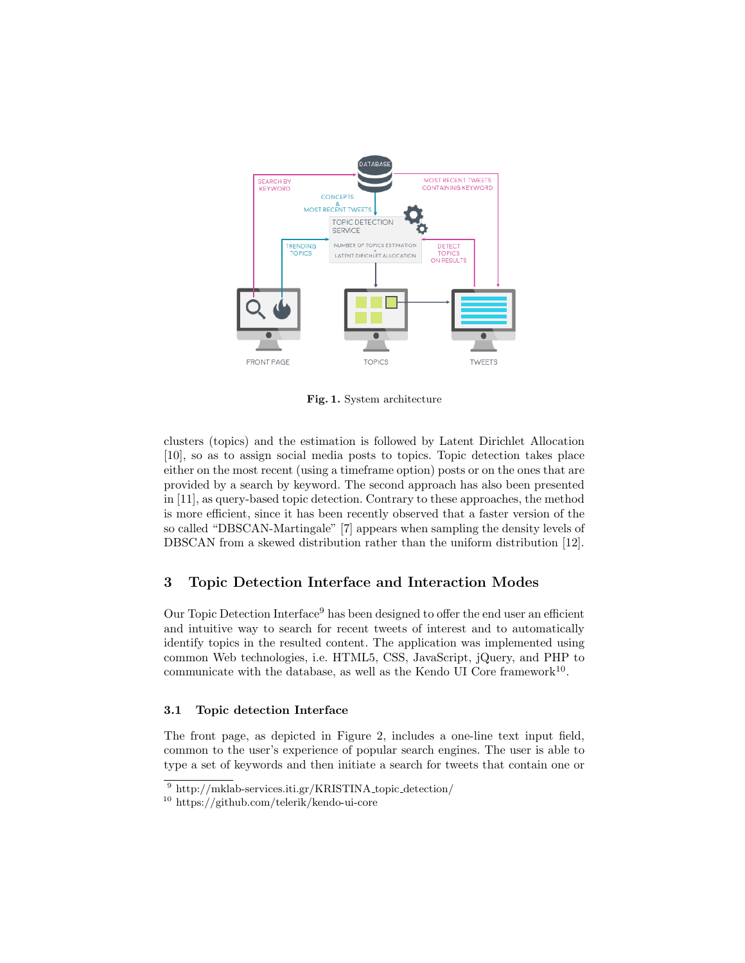

Fig. 1. System architecture

clusters (topics) and the estimation is followed by Latent Dirichlet Allocation [10], so as to assign social media posts to topics. Topic detection takes place either on the most recent (using a timeframe option) posts or on the ones that are provided by a search by keyword. The second approach has also been presented in [11], as query-based topic detection. Contrary to these approaches, the method is more efficient, since it has been recently observed that a faster version of the so called "DBSCAN-Martingale" [7] appears when sampling the density levels of DBSCAN from a skewed distribution rather than the uniform distribution [12].

# 3 Topic Detection Interface and Interaction Modes

Our Topic Detection Interface<sup>9</sup> has been designed to offer the end user an efficient and intuitive way to search for recent tweets of interest and to automatically identify topics in the resulted content. The application was implemented using common Web technologies, i.e. HTML5, CSS, JavaScript, jQuery, and PHP to communicate with the database, as well as the Kendo UI Core framework<sup>10</sup>.

#### 3.1 Topic detection Interface

The front page, as depicted in Figure 2, includes a one-line text input field, common to the user's experience of popular search engines. The user is able to type a set of keywords and then initiate a search for tweets that contain one or

 $9 \text{ http://mklab-services.iti.gr/KRISTINA\_topic\_detection/}$ 

<sup>10</sup> https://github.com/telerik/kendo-ui-core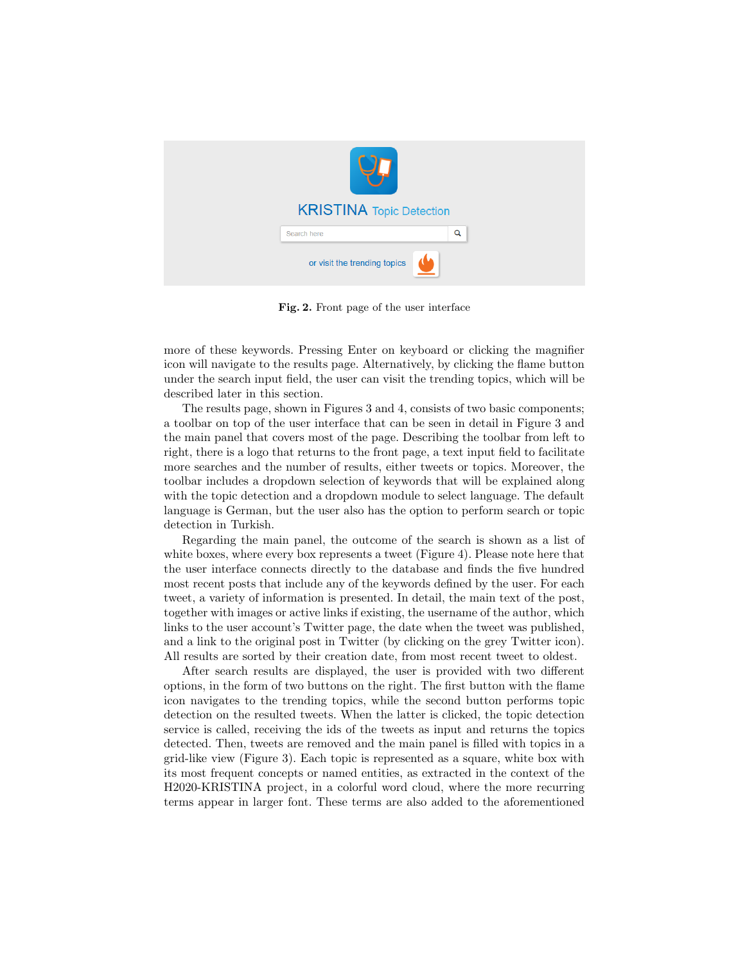

Fig. 2. Front page of the user interface

more of these keywords. Pressing Enter on keyboard or clicking the magnifier icon will navigate to the results page. Alternatively, by clicking the flame button under the search input field, the user can visit the trending topics, which will be described later in this section.

The results page, shown in Figures 3 and 4, consists of two basic components; a toolbar on top of the user interface that can be seen in detail in Figure 3 and the main panel that covers most of the page. Describing the toolbar from left to right, there is a logo that returns to the front page, a text input field to facilitate more searches and the number of results, either tweets or topics. Moreover, the toolbar includes a dropdown selection of keywords that will be explained along with the topic detection and a dropdown module to select language. The default language is German, but the user also has the option to perform search or topic detection in Turkish.

Regarding the main panel, the outcome of the search is shown as a list of white boxes, where every box represents a tweet (Figure 4). Please note here that the user interface connects directly to the database and finds the five hundred most recent posts that include any of the keywords defined by the user. For each tweet, a variety of information is presented. In detail, the main text of the post, together with images or active links if existing, the username of the author, which links to the user account's Twitter page, the date when the tweet was published, and a link to the original post in Twitter (by clicking on the grey Twitter icon). All results are sorted by their creation date, from most recent tweet to oldest.

After search results are displayed, the user is provided with two different options, in the form of two buttons on the right. The first button with the flame icon navigates to the trending topics, while the second button performs topic detection on the resulted tweets. When the latter is clicked, the topic detection service is called, receiving the ids of the tweets as input and returns the topics detected. Then, tweets are removed and the main panel is filled with topics in a grid-like view (Figure 3). Each topic is represented as a square, white box with its most frequent concepts or named entities, as extracted in the context of the H2020-KRISTINA project, in a colorful word cloud, where the more recurring terms appear in larger font. These terms are also added to the aforementioned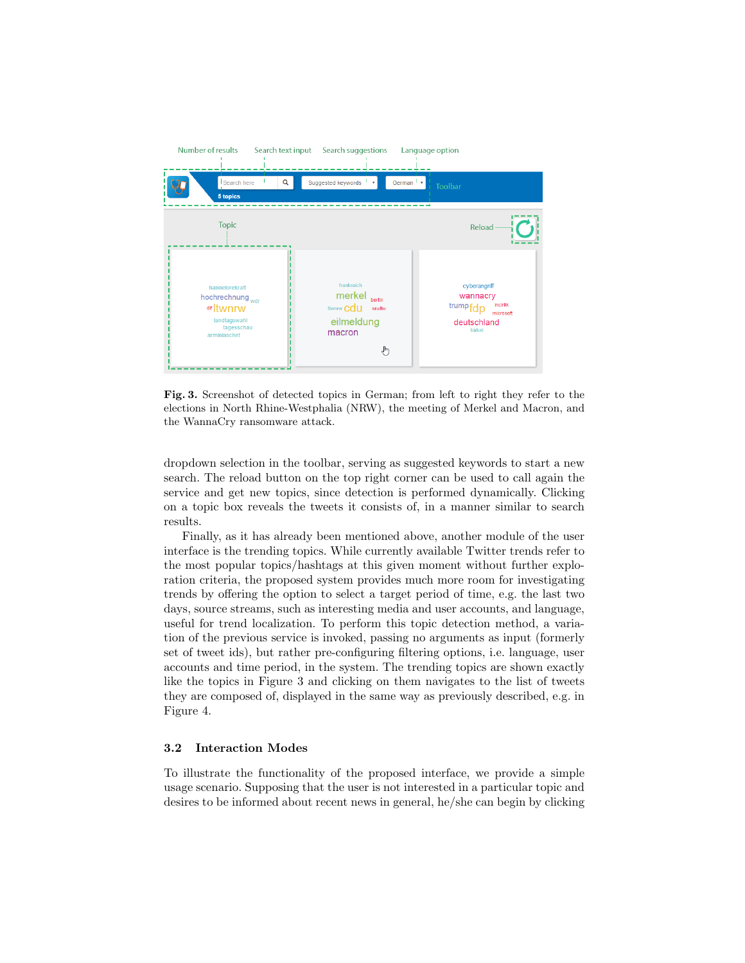

Fig. 3. Screenshot of detected topics in German; from left to right they refer to the elections in North Rhine-Westphalia (NRW), the meeting of Merkel and Macron, and the WannaCry ransomware attack.

dropdown selection in the toolbar, serving as suggested keywords to start a new search. The reload button on the top right corner can be used to call again the service and get new topics, since detection is performed dynamically. Clicking on a topic box reveals the tweets it consists of, in a manner similar to search results.

Finally, as it has already been mentioned above, another module of the user interface is the trending topics. While currently available Twitter trends refer to the most popular topics/hashtags at this given moment without further exploration criteria, the proposed system provides much more room for investigating trends by offering the option to select a target period of time, e.g. the last two days, source streams, such as interesting media and user accounts, and language, useful for trend localization. To perform this topic detection method, a variation of the previous service is invoked, passing no arguments as input (formerly set of tweet ids), but rather pre-configuring filtering options, i.e. language, user accounts and time period, in the system. The trending topics are shown exactly like the topics in Figure 3 and clicking on them navigates to the list of tweets they are composed of, displayed in the same way as previously described, e.g. in Figure 4.

#### 3.2 Interaction Modes

To illustrate the functionality of the proposed interface, we provide a simple usage scenario. Supposing that the user is not interested in a particular topic and desires to be informed about recent news in general, he/she can begin by clicking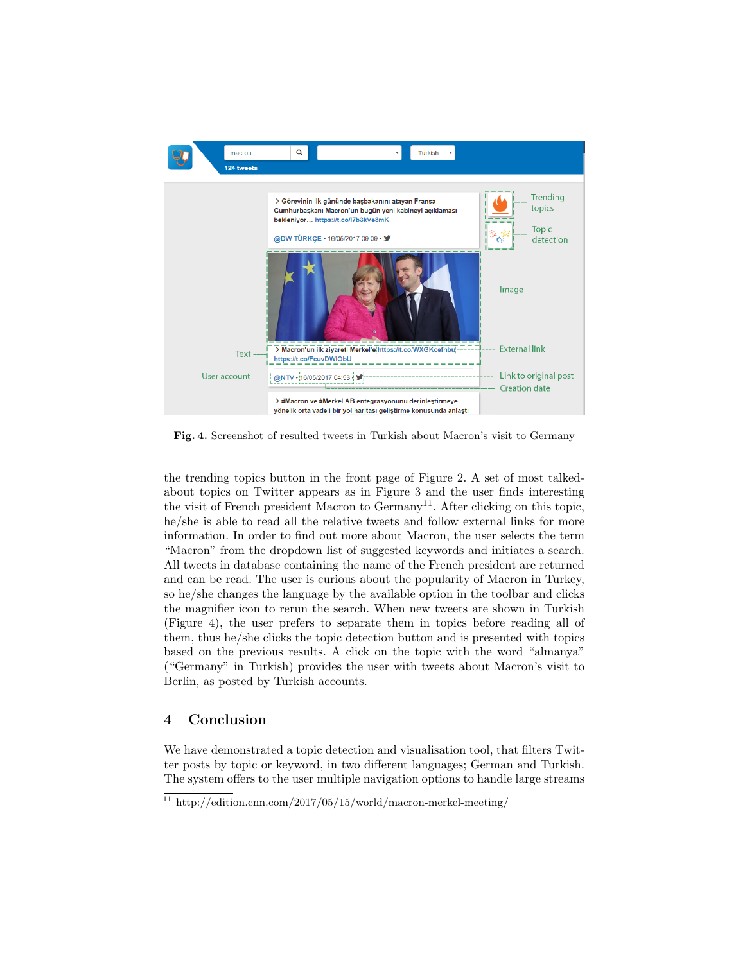

Fig. 4. Screenshot of resulted tweets in Turkish about Macron's visit to Germany

the trending topics button in the front page of Figure 2. A set of most talkedabout topics on Twitter appears as in Figure 3 and the user finds interesting the visit of French president Macron to  $Germany<sup>11</sup>$ . After clicking on this topic, he/she is able to read all the relative tweets and follow external links for more information. In order to find out more about Macron, the user selects the term "Macron" from the dropdown list of suggested keywords and initiates a search. All tweets in database containing the name of the French president are returned and can be read. The user is curious about the popularity of Macron in Turkey, so he/she changes the language by the available option in the toolbar and clicks the magnifier icon to rerun the search. When new tweets are shown in Turkish (Figure 4), the user prefers to separate them in topics before reading all of them, thus he/she clicks the topic detection button and is presented with topics based on the previous results. A click on the topic with the word "almanya" ("Germany" in Turkish) provides the user with tweets about Macron's visit to Berlin, as posted by Turkish accounts.

# 4 Conclusion

We have demonstrated a topic detection and visualisation tool, that filters Twitter posts by topic or keyword, in two different languages; German and Turkish. The system offers to the user multiple navigation options to handle large streams

 $\frac{11 \text{ http://edition.cnn.com/2017/05/15/world/macron-merkel-meeting/}}{11 \text{ http://edition.cnn.com/2017/05/15/world/macron-merkel-meeting/}}$